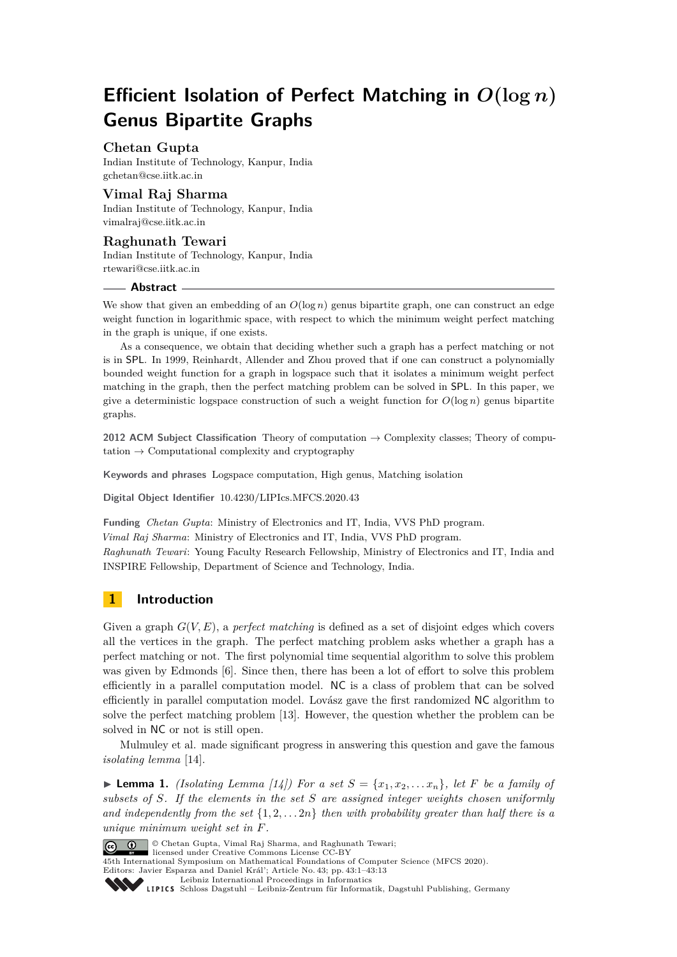# **Efficient Isolation of Perfect Matching in** *O***(log** *n***) Genus Bipartite Graphs**

## **Chetan Gupta**

Indian Institute of Technology, Kanpur, India [gchetan@cse.iitk.ac.in](mailto:gchetan@cse.iitk.ac.in)

# **Vimal Raj Sharma**

Indian Institute of Technology, Kanpur, India [vimalraj@cse.iitk.ac.in](mailto:vimalraj@cse.iitk.ac.in)

## **Raghunath Tewari** Indian Institute of Technology, Kanpur, India [rtewari@cse.iitk.ac.in](mailto:rtewari@cse.iitk.ac.in)

#### **Abstract**

We show that given an embedding of an  $O(\log n)$  genus bipartite graph, one can construct an edge weight function in logarithmic space, with respect to which the minimum weight perfect matching in the graph is unique, if one exists.

As a consequence, we obtain that deciding whether such a graph has a perfect matching or not is in SPL. In 1999, Reinhardt, Allender and Zhou proved that if one can construct a polynomially bounded weight function for a graph in logspace such that it isolates a minimum weight perfect matching in the graph, then the perfect matching problem can be solved in SPL. In this paper, we give a deterministic logspace construction of such a weight function for  $O(\log n)$  genus bipartite graphs.

**2012 ACM Subject Classification** Theory of computation → Complexity classes; Theory of computation  $\rightarrow$  Computational complexity and cryptography

**Keywords and phrases** Logspace computation, High genus, Matching isolation

**Digital Object Identifier** [10.4230/LIPIcs.MFCS.2020.43](https://doi.org/10.4230/LIPIcs.MFCS.2020.43)

**Funding** *Chetan Gupta*: Ministry of Electronics and IT, India, VVS PhD program.

*Vimal Raj Sharma*: Ministry of Electronics and IT, India, VVS PhD program.

*Raghunath Tewari*: Young Faculty Research Fellowship, Ministry of Electronics and IT, India and INSPIRE Fellowship, Department of Science and Technology, India.

# **1 Introduction**

Given a graph *G*(*V, E*), a *perfect matching* is defined as a set of disjoint edges which covers all the vertices in the graph. The perfect matching problem asks whether a graph has a perfect matching or not. The first polynomial time sequential algorithm to solve this problem was given by Edmonds [\[6\]](#page-11-0). Since then, there has been a lot of effort to solve this problem efficiently in a parallel computation model. NC is a class of problem that can be solved efficiently in parallel computation model. Lovász gave the first randomized NC algorithm to solve the perfect matching problem [\[13\]](#page-11-1). However, the question whether the problem can be solved in NC or not is still open.

Mulmuley et al. made significant progress in answering this question and gave the famous *isolating lemma* [\[14\]](#page-11-2).

**Example 1.** *(Isolating Lemma [\[14\]](#page-11-2)* For a set  $S = \{x_1, x_2, \ldots x_n\}$ , let F be a family of *subsets of S. If the elements in the set S are assigned integer weights chosen uniformly and independently from the set*  $\{1, 2, \ldots, 2n\}$  *then with probability greater than half there is a unique minimum weight set in F.*



**C**  $\bullet$  **C** Chetan Gupta, Vimal Raj Sharma, and Raghunath Tewari;

licensed under Creative Commons License CC-BY 45th International Symposium on Mathematical Foundations of Computer Science (MFCS 2020). Editors: Javier Esparza and Daniel Král'; Article No. 43; pp. 43:1–43[:13](#page-12-0)

[Leibniz International Proceedings in Informatics](https://www.dagstuhl.de/lipics/)

[Schloss Dagstuhl – Leibniz-Zentrum für Informatik, Dagstuhl Publishing, Germany](https://www.dagstuhl.de)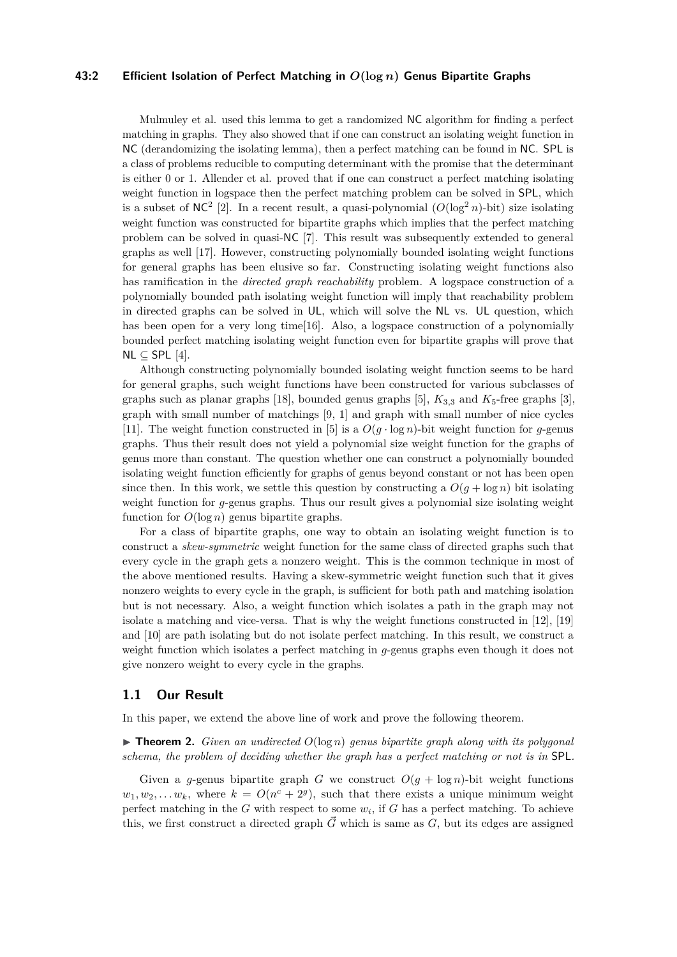#### **43:2 Efficient Isolation of Perfect Matching in** *O***(log** *n***) Genus Bipartite Graphs**

Mulmuley et al. used this lemma to get a randomized NC algorithm for finding a perfect matching in graphs. They also showed that if one can construct an isolating weight function in NC (derandomizing the isolating lemma), then a perfect matching can be found in NC. SPL is a class of problems reducible to computing determinant with the promise that the determinant is either 0 or 1. Allender et al. proved that if one can construct a perfect matching isolating weight function in logspace then the perfect matching problem can be solved in SPL, which is a subset of  $NC^2$  [\[2\]](#page-11-3). In a recent result, a quasi-polynomial  $(O(\log^2 n)$ -bit) size isolating weight function was constructed for bipartite graphs which implies that the perfect matching problem can be solved in quasi-NC [\[7\]](#page-11-4). This result was subsequently extended to general graphs as well [\[17\]](#page-11-5). However, constructing polynomially bounded isolating weight functions for general graphs has been elusive so far. Constructing isolating weight functions also has ramification in the *directed graph reachability* problem. A logspace construction of a polynomially bounded path isolating weight function will imply that reachability problem in directed graphs can be solved in UL, which will solve the NL vs. UL question, which has been open for a very long time[\[16\]](#page-11-6). Also, a logspace construction of a polynomially bounded perfect matching isolating weight function even for bipartite graphs will prove that NL  $\subset$  SPL [\[4\]](#page-11-7).

Although constructing polynomially bounded isolating weight function seems to be hard for general graphs, such weight functions have been constructed for various subclasses of graphs such as planar graphs [\[18\]](#page-12-1), bounded genus graphs [\[5\]](#page-11-8),  $K_{3,3}$  and  $K_5$ -free graphs [\[3\]](#page-11-9), graph with small number of matchings [\[9,](#page-11-10) [1\]](#page-11-11) and graph with small number of nice cycles [\[11\]](#page-11-12). The weight function constructed in [\[5\]](#page-11-8) is a  $O(g \cdot \log n)$ -bit weight function for *g*-genus graphs. Thus their result does not yield a polynomial size weight function for the graphs of genus more than constant. The question whether one can construct a polynomially bounded isolating weight function efficiently for graphs of genus beyond constant or not has been open since then. In this work, we settle this question by constructing a  $O(g + \log n)$  bit isolating weight function for *g*-genus graphs. Thus our result gives a polynomial size isolating weight function for  $O(\log n)$  genus bipartite graphs.

For a class of bipartite graphs, one way to obtain an isolating weight function is to construct a *skew-symmetric* weight function for the same class of directed graphs such that every cycle in the graph gets a nonzero weight. This is the common technique in most of the above mentioned results. Having a skew-symmetric weight function such that it gives nonzero weights to every cycle in the graph, is sufficient for both path and matching isolation but is not necessary. Also, a weight function which isolates a path in the graph may not isolate a matching and vice-versa. That is why the weight functions constructed in [\[12\]](#page-11-13), [\[19\]](#page-12-2) and [\[10\]](#page-11-14) are path isolating but do not isolate perfect matching. In this result, we construct a weight function which isolates a perfect matching in *g*-genus graphs even though it does not give nonzero weight to every cycle in the graphs.

## **1.1 Our Result**

<span id="page-1-0"></span>In this paper, we extend the above line of work and prove the following theorem.

 $\triangleright$  **Theorem 2.** *Given an undirected*  $O(\log n)$  *genus bipartite graph along with its polygonal schema, the problem of deciding whether the graph has a perfect matching or not is in* SPL*.*

Given a *g*-genus bipartite graph *G* we construct  $O(g + \log n)$ -bit weight functions  $w_1, w_2, \ldots w_k$ , where  $k = O(n^c + 2^g)$ , such that there exists a unique minimum weight perfect matching in the  $G$  with respect to some  $w_i$ , if  $G$  has a perfect matching. To achieve this, we first construct a directed graph  $\vec{G}$  which is same as  $G$ , but its edges are assigned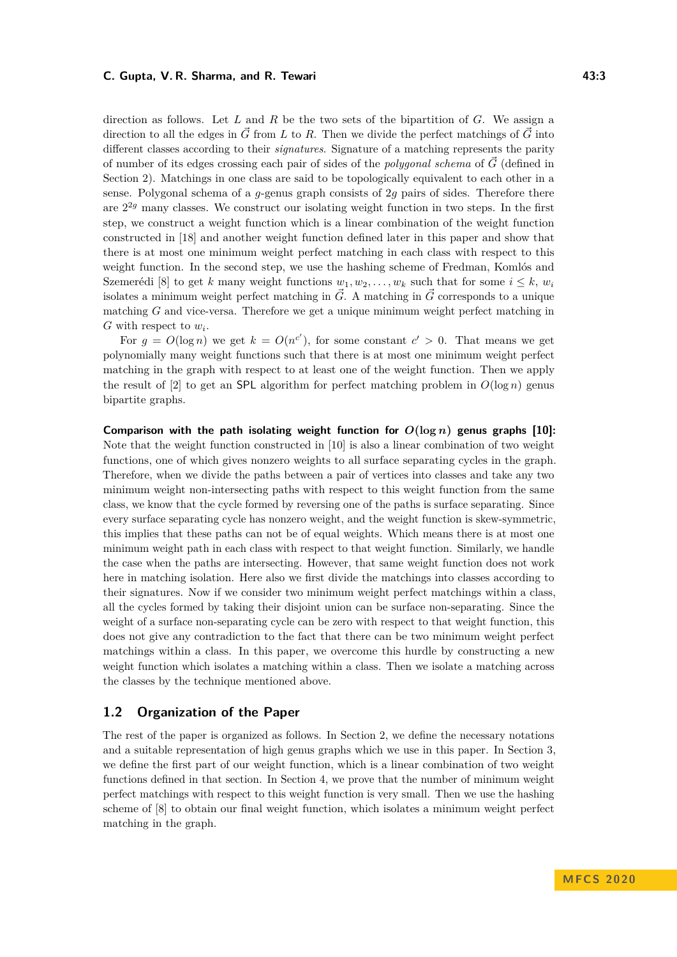#### **C. Gupta, V. R. Sharma, and R. Tewari 12:3** 13:3

direction as follows. Let *L* and *R* be the two sets of the bipartition of *G*. We assign a direction to all the edges in  $\vec{G}$  from *L* to *R*. Then we divide the perfect matchings of  $\vec{G}$  into different classes according to their *signatures*. Signature of a matching represents the parity of number of its edges crossing each pair of sides of the *polygonal schema* of  $\vec{G}$  (defined in Section [2\)](#page-3-0). Matchings in one class are said to be topologically equivalent to each other in a sense. Polygonal schema of a *g*-genus graph consists of 2*g* pairs of sides. Therefore there are 2 <sup>2</sup>*<sup>g</sup>* many classes. We construct our isolating weight function in two steps. In the first step, we construct a weight function which is a linear combination of the weight function constructed in [\[18\]](#page-12-1) and another weight function defined later in this paper and show that there is at most one minimum weight perfect matching in each class with respect to this weight function. In the second step, we use the hashing scheme of Fredman, Komlós and Szemerédi [\[8\]](#page-11-15) to get *k* many weight functions  $w_1, w_2, \ldots, w_k$  such that for some  $i \leq k, w_i$ isolates a minimum weight perfect matching in  $\vec{G}$ . A matching in  $\vec{G}$  corresponds to a unique matching *G* and vice-versa. Therefore we get a unique minimum weight perfect matching in *G* with respect to *w<sup>i</sup>* .

For  $g = O(\log n)$  we get  $k = O(n^{c'})$ , for some constant  $c' > 0$ . That means we get polynomially many weight functions such that there is at most one minimum weight perfect matching in the graph with respect to at least one of the weight function. Then we apply the result of  $[2]$  to get an **SPL** algorithm for perfect matching problem in  $O(\log n)$  genus bipartite graphs.

Comparison with the path isolating weight function for  $O(\log n)$  genus graphs [\[10\]](#page-11-14): Note that the weight function constructed in [\[10\]](#page-11-14) is also a linear combination of two weight functions, one of which gives nonzero weights to all surface separating cycles in the graph. Therefore, when we divide the paths between a pair of vertices into classes and take any two minimum weight non-intersecting paths with respect to this weight function from the same class, we know that the cycle formed by reversing one of the paths is surface separating. Since every surface separating cycle has nonzero weight, and the weight function is skew-symmetric, this implies that these paths can not be of equal weights. Which means there is at most one minimum weight path in each class with respect to that weight function. Similarly, we handle the case when the paths are intersecting. However, that same weight function does not work here in matching isolation. Here also we first divide the matchings into classes according to their signatures. Now if we consider two minimum weight perfect matchings within a class, all the cycles formed by taking their disjoint union can be surface non-separating. Since the weight of a surface non-separating cycle can be zero with respect to that weight function, this does not give any contradiction to the fact that there can be two minimum weight perfect matchings within a class. In this paper, we overcome this hurdle by constructing a new weight function which isolates a matching within a class. Then we isolate a matching across the classes by the technique mentioned above.

### **1.2 Organization of the Paper**

The rest of the paper is organized as follows. In Section [2,](#page-3-0) we define the necessary notations and a suitable representation of high genus graphs which we use in this paper. In Section [3,](#page-4-0) we define the first part of our weight function, which is a linear combination of two weight functions defined in that section. In Section [4,](#page-6-0) we prove that the number of minimum weight perfect matchings with respect to this weight function is very small. Then we use the hashing scheme of [\[8\]](#page-11-15) to obtain our final weight function, which isolates a minimum weight perfect matching in the graph.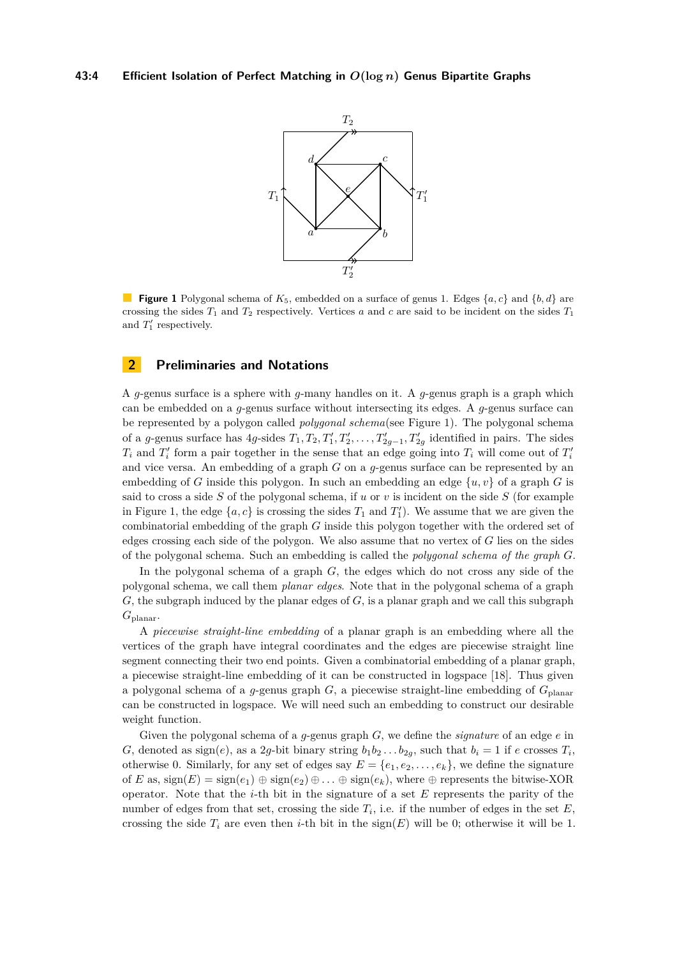<span id="page-3-1"></span>

**Figure 1** Polygonal schema of  $K_5$ , embedded on a surface of genus 1. Edges  $\{a, c\}$  and  $\{b, d\}$  are crossing the sides  $T_1$  and  $T_2$  respectively. Vertices *a* and *c* are said to be incident on the sides  $T_1$ and  $T_1'$  respectively.

# <span id="page-3-0"></span>**2 Preliminaries and Notations**

A *g*-genus surface is a sphere with *g*-many handles on it. A *g*-genus graph is a graph which can be embedded on a *g*-genus surface without intersecting its edges. A *g*-genus surface can be represented by a polygon called *polygonal schema*(see Figure [1\)](#page-3-1). The polygonal schema of a *g*-genus surface has  $4g$ -sides  $T_1, T_2, T'_1, T'_2, \ldots, T'_{2g-1}, T'_{2g}$  identified in pairs. The sides  $T_i$  and  $T'_i$  form a pair together in the sense that an edge going into  $T_i$  will come out of  $T'_i$ and vice versa. An embedding of a graph *G* on a *g*-genus surface can be represented by an embedding of *G* inside this polygon. In such an embedding an edge  $\{u, v\}$  of a graph *G* is said to cross a side  $S$  of the polygonal schema, if  $u$  or  $v$  is incident on the side  $S$  (for example in Figure [1,](#page-3-1) the edge  $\{a, c\}$  is crossing the sides  $T_1$  and  $T_1'$ ). We assume that we are given the combinatorial embedding of the graph *G* inside this polygon together with the ordered set of edges crossing each side of the polygon. We also assume that no vertex of *G* lies on the sides of the polygonal schema. Such an embedding is called the *polygonal schema of the graph G*.

In the polygonal schema of a graph *G*, the edges which do not cross any side of the polygonal schema, we call them *planar edges*. Note that in the polygonal schema of a graph *G*, the subgraph induced by the planar edges of *G*, is a planar graph and we call this subgraph *G*planar.

A *piecewise straight-line embedding* of a planar graph is an embedding where all the vertices of the graph have integral coordinates and the edges are piecewise straight line segment connecting their two end points. Given a combinatorial embedding of a planar graph, a piecewise straight-line embedding of it can be constructed in logspace [\[18\]](#page-12-1). Thus given a polygonal schema of a *g*-genus graph  $G$ , a piecewise straight-line embedding of  $G_{\text{planar}}$ can be constructed in logspace. We will need such an embedding to construct our desirable weight function.

Given the polygonal schema of a *g*-genus graph *G*, we define the *signature* of an edge *e* in *G*, denoted as sign(*e*), as a 2*g*-bit binary string  $b_1b_2 \ldots b_{2g}$ , such that  $b_i = 1$  if *e* crosses  $T_i$ , otherwise 0. Similarly, for any set of edges say  $E = \{e_1, e_2, \ldots, e_k\}$ , we define the signature of *E* as,  $sign(E) = sign(e_1) \oplus sign(e_2) \oplus \ldots \oplus sign(e_k)$ , where  $\oplus$  represents the bitwise-XOR operator. Note that the *i*-th bit in the signature of a set *E* represents the parity of the number of edges from that set, crossing the side  $T_i$ , i.e. if the number of edges in the set  $E$ , crossing the side  $T_i$  are even then *i*-th bit in the sign(*E*) will be 0; otherwise it will be 1.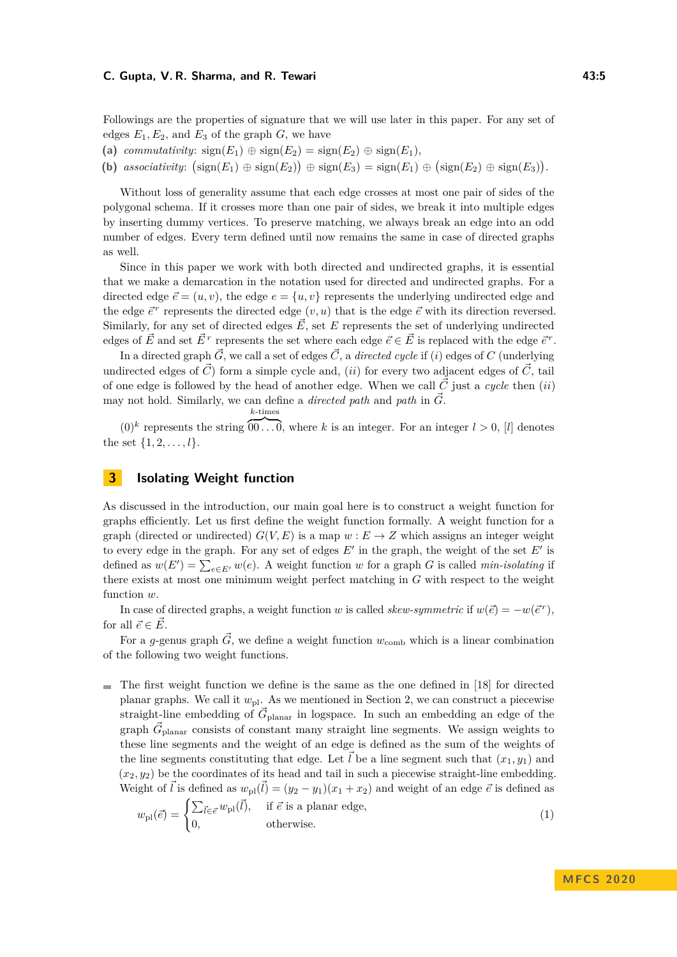#### **C. Gupta, V. R. Sharma, and R. Tewari 12. All and 13.5 43:5**

Followings are the properties of signature that we will use later in this paper. For any set of edges  $E_1, E_2$ , and  $E_3$  of the graph  $G$ , we have

- (a) *commutativity*:  $sign(E_1) \oplus sign(E_2) = sign(E_2) \oplus sign(E_1)$ ,
- **(b)** associativity:  $(\text{sign}(E_1) \oplus \text{sign}(E_2)) \oplus \text{sign}(E_3) = \text{sign}(E_1) \oplus (\text{sign}(E_2) \oplus \text{sign}(E_3)).$

Without loss of generality assume that each edge crosses at most one pair of sides of the polygonal schema. If it crosses more than one pair of sides, we break it into multiple edges by inserting dummy vertices. To preserve matching, we always break an edge into an odd number of edges. Every term defined until now remains the same in case of directed graphs as well.

Since in this paper we work with both directed and undirected graphs, it is essential that we make a demarcation in the notation used for directed and undirected graphs. For a directed edge  $\vec{e} = (u, v)$ , the edge  $e = \{u, v\}$  represents the underlying undirected edge and the edge  $\vec{e}^r$  represents the directed edge  $(v, u)$  that is the edge  $\vec{e}$  with its direction reversed. Similarly, for any set of directed edges  $\vec{E}$ , set  $E$  represents the set of underlying undirected edges of  $\vec{E}$  and set  $\vec{E}^r$  represents the set where each edge  $\vec{e} \in \vec{E}$  is replaced with the edge  $\vec{e}^r$ .

In a directed graph  $\vec{G}$ , we call a set of edges  $\vec{C}$ , a *directed cycle* if (*i*) edges of C (underlying undirected edges of  $\vec{C}$  form a simple cycle and, *(ii)* for every two adjacent edges of  $\vec{C}$ , tail of one edge is followed by the head of another edge. When we call  $\vec{C}$  just a *cycle* then (*ii*) may not hold. Similarly, we can define a *directed path* and *path* in  $\vec{G}$ .

$$
\overbrace{\hspace{4.5cm}}^{k\textrm{-times}}
$$

 $(0)^k$  represents the string  $\overline{00 \dots 0}$ , where *k* is an integer. For an integer  $l > 0$ , [*l*] denotes the set  $\{1, 2, \ldots, l\}$ .

# <span id="page-4-0"></span>**3 Isolating Weight function**

As discussed in the introduction, our main goal here is to construct a weight function for graphs efficiently. Let us first define the weight function formally. A weight function for a graph (directed or undirected)  $G(V, E)$  is a map  $w : E \to Z$  which assigns an integer weight to every edge in the graph. For any set of edges  $E'$  in the graph, the weight of the set  $E'$  is defined as  $w(E') = \sum_{e \in E'} w(e)$ . A weight function *w* for a graph *G* is called *min-isolating* if there exists at most one minimum weight perfect matching in *G* with respect to the weight function *w*.

In case of directed graphs, a weight function *w* is called *skew-symmetric* if  $w(\vec{e}) = -w(\vec{e}^r)$ , for all  $\vec{e} \in \vec{E}$ .

For a *g*-genus graph  $\vec{G}$ , we define a weight function  $w_{\text{comb}}$  which is a linear combination of the following two weight functions.

The first weight function we define is the same as the one defined in [\[18\]](#page-12-1) for directed  $\overline{\phantom{a}}$ planar graphs. We call it *w*pl. As we mentioned in Section [2,](#page-3-0) we can construct a piecewise straight-line embedding of  $\vec{G}_{\text{planar}}$  in logspace. In such an embedding an edge of the graph  $\vec{G}_{\text{planar}}$  consists of constant many straight line segments. We assign weights to these line segments and the weight of an edge is defined as the sum of the weights of the line segments constituting that edge. Let *l* be a line segment such that  $(x_1, y_1)$  and  $(x_2, y_2)$  be the coordinates of its head and tail in such a piecewise straight-line embedding. Weight of  $\vec{l}$  is defined as  $w_{\text{pl}}(\vec{l}) = (y_2 - y_1)(x_1 + x_2)$  and weight of an edge  $\vec{e}$  is defined as

$$
w_{\rm pl}(\vec{e}) = \begin{cases} \sum_{\vec{l} \in \vec{e}} w_{\rm pl}(\vec{l}), & \text{if } \vec{e} \text{ is a planar edge,} \\ 0, & \text{otherwise.} \end{cases}
$$
 (1)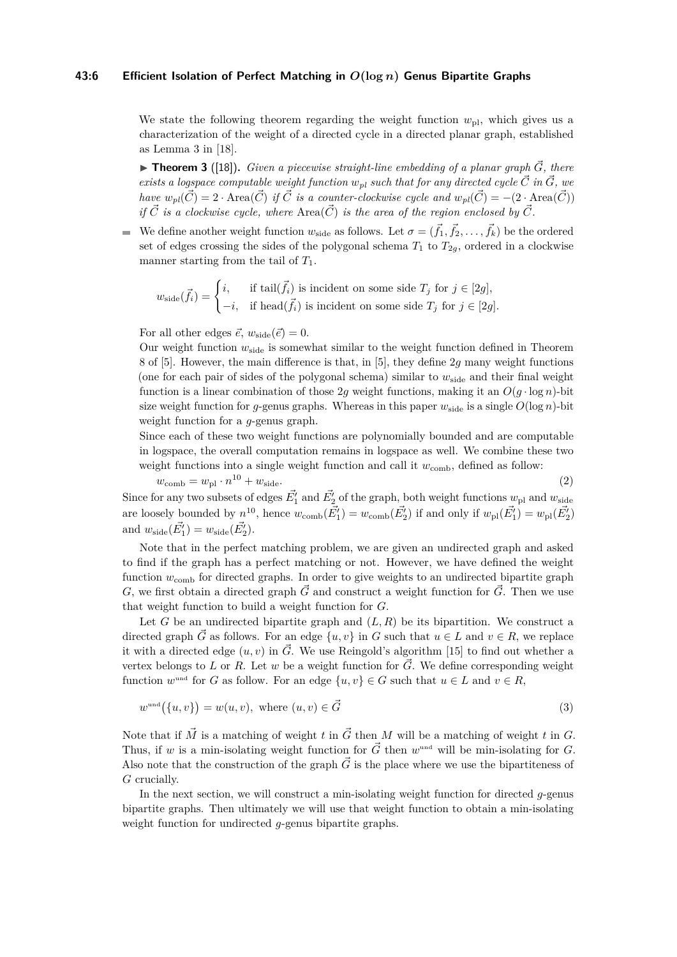#### **43:6 Efficient Isolation of Perfect Matching in** *O***(log** *n***) Genus Bipartite Graphs**

We state the following theorem regarding the weight function  $w_{\text{pl}}$ , which gives us a characterization of the weight of a directed cycle in a directed planar graph, established as Lemma 3 in [\[18\]](#page-12-1).

<span id="page-5-0"></span>**Figure 10 Theorem 3** ([\[18\]](#page-12-1)). *Given a piecewise straight-line embedding of a planar graph*  $\vec{G}$ , there *exists a logspace computable weight function*  $w_{pl}$  *such that for any directed cycle*  $\vec{C}$  *in*  $\vec{G}$ *, we have*  $w_{pl}(\vec{C}) = 2 \cdot \text{Area}(\vec{C})$  *if*  $\vec{C}$  *is a counter-clockwise cycle and*  $w_{pl}(\vec{C}) = -(2 \cdot \text{Area}(\vec{C}))$ *if*  $\vec{C}$  *is a clockwise cycle, where* Area( $\vec{C}$ ) *is the area of the region enclosed by*  $\vec{C}$ *.* 

We define another weight function  $w_{\text{side}}$  as follows. Let  $\sigma = (\vec{f}_1, \vec{f}_2, \dots, \vec{f}_k)$  be the ordered  $\equiv$ set of edges crossing the sides of the polygonal schema  $T_1$  to  $T_{2q}$ , ordered in a clockwise manner starting from the tail of *T*1.

$$
w_{\text{side}}(\vec{f}_i) = \begin{cases} i, & \text{if } \text{tail}(\vec{f}_i) \text{ is incident on some side } T_j \text{ for } j \in [2g], \\ -i, & \text{if } \text{head}(\vec{f}_i) \text{ is incident on some side } T_j \text{ for } j \in [2g]. \end{cases}
$$

For all other edges  $\vec{e}$ ,  $w_{\text{side}}(\vec{e}) = 0$ .

Our weight function  $w_{side}$  is somewhat similar to the weight function defined in Theorem 8 of [\[5\]](#page-11-8). However, the main difference is that, in [\[5\]](#page-11-8), they define 2*g* many weight functions (one for each pair of sides of the polygonal schema) similar to  $w_{\text{side}}$  and their final weight function is a linear combination of those 2q weight functions, making it an  $O(q \cdot \log n)$ -bit size weight function for *g*-genus graphs. Whereas in this paper  $w_{side}$  is a single  $O(log n)$ -bit weight function for a *g*-genus graph.

Since each of these two weight functions are polynomially bounded and are computable in logspace, the overall computation remains in logspace as well. We combine these two weight functions into a single weight function and call it  $w_{\text{comb}}$ , defined as follow:

 $w_{\text{comb}} = w_{\text{pl}} \cdot n^{10} + w_{\text{side}}.$  (2) Since for any two subsets of edges  $\vec{E_1'}$  and  $\vec{E_2'}$  of the graph, both weight functions  $w_{\text{pl}}$  and  $w_{\text{side}}$ are loosely bounded by  $n^{10}$ , hence  $w_{\text{comb}}(\vec{E_1'}) = w_{\text{comb}}(\vec{E_2'})$  if and only if  $w_{\text{pl}}(\vec{E_1'}) = w_{\text{pl}}(\vec{E_2'})$ and  $w_{\text{side}}(\vec{E_1'}) = w_{\text{side}}(\vec{E_2'})$ .

Note that in the perfect matching problem, we are given an undirected graph and asked to find if the graph has a perfect matching or not. However, we have defined the weight function  $w_{\text{comb}}$  for directed graphs. In order to give weights to an undirected bipartite graph *G*, we first obtain a directed graph  $\vec{G}$  and construct a weight function for  $\vec{G}$ . Then we use that weight function to build a weight function for *G*.

Let *G* be an undirected bipartite graph and  $(L, R)$  be its bipartition. We construct a directed graph  $\vec{G}$  as follows. For an edge  $\{u, v\}$  in *G* such that  $u \in L$  and  $v \in R$ , we replace it with a directed edge  $(u, v)$  in  $\vec{G}$ . We use Reingold's algorithm [\[15\]](#page-11-16) to find out whether a vertex belongs to L or R. Let w be a weight function for  $\vec{G}$ . We define corresponding weight function  $w^{\text{und}}$  for *G* as follow. For an edge  $\{u, v\} \in G$  such that  $u \in L$  and  $v \in R$ ,

$$
w^{\text{und}}(\{u,v\}) = w(u,v), \text{ where } (u,v) \in \vec{G}
$$
\n
$$
(3)
$$

Note that if  $\vec{M}$  is a matching of weight *t* in  $\vec{G}$  then *M* will be a matching of weight *t* in *G*. Thus, if *w* is a min-isolating weight function for  $\vec{G}$  then *w*<sup>md</sup> will be min-isolating for *G*. Also note that the construction of the graph  $\vec{G}$  is the place where we use the bipartiteness of *G* crucially.

In the next section, we will construct a min-isolating weight function for directed *g*-genus bipartite graphs. Then ultimately we will use that weight function to obtain a min-isolating weight function for undirected *g*-genus bipartite graphs.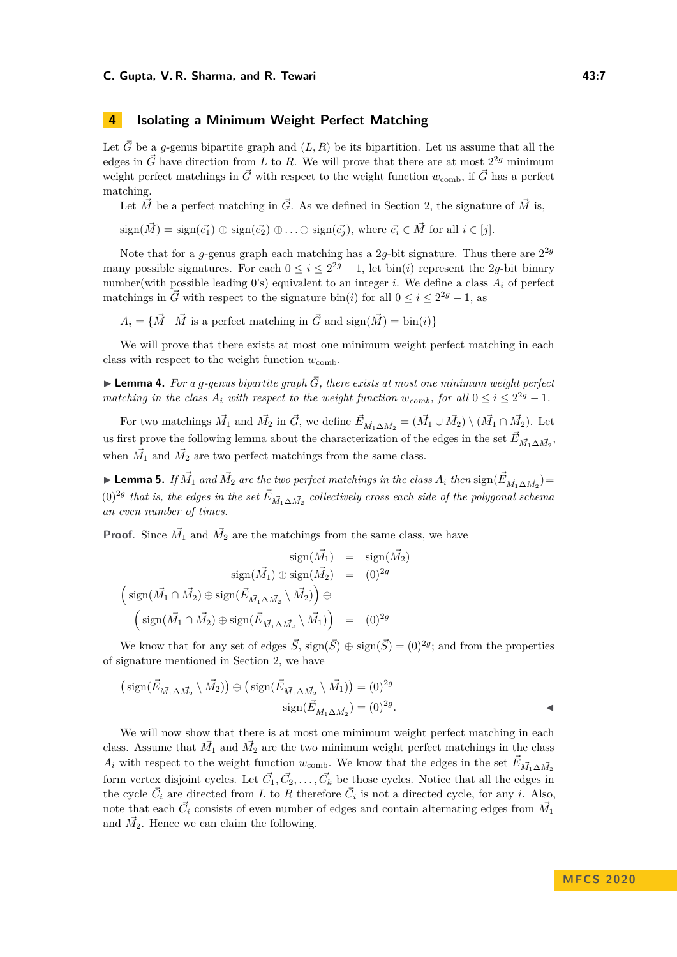## <span id="page-6-0"></span>**4 Isolating a Minimum Weight Perfect Matching**

Let  $\vec{G}$  be a *g*-genus bipartite graph and  $(L, R)$  be its bipartition. Let us assume that all the edges in  $\vec{G}$  have direction from *L* to *R*. We will prove that there are at most  $2^{2g}$  minimum weight perfect matchings in  $\vec{G}$  with respect to the weight function  $w_{\text{comb}}$ , if  $\vec{G}$  has a perfect matching.

Let  $\vec{M}$  be a perfect matching in  $\vec{G}$ . As we defined in Section [2,](#page-3-0) the signature of  $\vec{M}$  is,

$$
sign(\vec{M}) = sign(\vec{e_1}) \oplus sign(\vec{e_2}) \oplus ... \oplus sign(\vec{e_j}),
$$
 where  $\vec{e_i} \in \vec{M}$  for all  $i \in [j]$ .

Note that for a *g*-genus graph each matching has a 2*g*-bit signature. Thus there are  $2^{2g}$ many possible signatures. For each  $0 \le i \le 2^{2g} - 1$ , let bin(*i*) represent the 2*g*-bit binary number(with possible leading 0's) equivalent to an integer *i*. We define a class  $A_i$  of perfect matchings in  $\vec{G}$  with respect to the signature bin(*i*) for all  $0 \le i \le 2^{2g} - 1$ , as

 $A_i = \{ \vec{M} \mid \vec{M} \text{ is a perfect matching in } \vec{G} \text{ and } sign(\vec{M}) = bin(i) \}$ 

We will prove that there exists at most one minimum weight perfect matching in each class with respect to the weight function  $w_{\text{comb}}$ .

<span id="page-6-3"></span> $\blacktriangleright$  **Lemma 4.** For a *g*-genus bipartite graph  $\vec{G}$ , there exists at most one minimum weight perfect *matching in the class*  $A_i$  *with respect to the weight function*  $w_{comb}$ *, for all*  $0 \le i \le 2^{2g} - 1$ *.* 

For two matchings  $\vec{M_1}$  and  $\vec{M_2}$  in  $\vec{G}$ , we define  $\vec{E}_{\vec{M_1}\Delta\vec{M_2}} = (\vec{M_1} \cup \vec{M_2}) \setminus (\vec{M_1} \cap \vec{M_2})$ . Let us first prove the following lemma about the characterization of the edges in the set  $\vec{E}_{\vec{M}_1 \Delta \vec{M}_2}$ , when  $\vec{M}_1$  and  $\vec{M}_2$  are two perfect matchings from the same class.

<span id="page-6-2"></span>► Lemma 5. *If*  $\vec{M_1}$  *and*  $\vec{M_2}$  *are the two perfect matchings in the class*  $A_i$  *then*  $sign(\vec{E}_{\vec{M_1}\Delta\vec{M_2}})$  =  $(0)^{2g}$  that is, the edges in the set  $\vec{E}_{\vec{M}_1 \Delta \vec{M}_2}$  collectively cross each side of the polygonal schema *an even number of times.*

**Proof.** Since  $\vec{M}_1$  and  $\vec{M}_2$  are the matchings from the same class, we have

$$
\text{sign}(\vec{M_1}) = \text{sign}(\vec{M_2})
$$

$$
\text{sign}(\vec{M_1}) \oplus \text{sign}(\vec{M_2}) = (0)^{2g}
$$

$$
\left(\text{sign}(\vec{M_1} \cap \vec{M_2}) \oplus \text{sign}(\vec{E}_{\vec{M_1} \Delta \vec{M_2}} \setminus \vec{M_2})\right) \oplus
$$

$$
\left(\text{sign}(\vec{M_1} \cap \vec{M_2}) \oplus \text{sign}(\vec{E}_{\vec{M_1} \Delta \vec{M_2}} \setminus \vec{M_1})\right) = (0)^{2g}
$$

We know that for any set of edges  $\vec{S}$ ,  $sign(\vec{S}) \oplus sign(\vec{S}) = (0)^{2g}$ ; and from the properties of signature mentioned in Section [2,](#page-3-0) we have

$$
\left(\text{sign}(\vec{E}_{\vec{M}_1 \Delta \vec{M}_2} \setminus \vec{M}_2)\right) \oplus \left(\text{sign}(\vec{E}_{\vec{M}_1 \Delta \vec{M}_2} \setminus \vec{M}_1)\right) = (0)^{2g}
$$
  
sign $(\vec{E}_{\vec{M}_1 \Delta \vec{M}_2}) = (0)^{2g}$ .

<span id="page-6-1"></span>We will now show that there is at most one minimum weight perfect matching in each class. Assume that  $\vec{M_1}$  and  $\vec{M_2}$  are the two minimum weight perfect matchings in the class *A*<sup>*i*</sup> with respect to the weight function *w*<sub>comb</sub>. We know that the edges in the set  $\vec{E}_{\vec{M}_1 \Delta \vec{M}_2}$ form vertex disjoint cycles. Let  $\vec{C_1}, \vec{C_2}, \ldots, \vec{C_k}$  be those cycles. Notice that all the edges in the cycle  $\vec{C}_i$  are directed from *L* to *R* therefore  $\vec{C}_i$  is not a directed cycle, for any *i*. Also, note that each  $\vec{C}_i$  consists of even number of edges and contain alternating edges from  $\vec{M_1}$ and  $\vec{M_2}$ . Hence we can claim the following.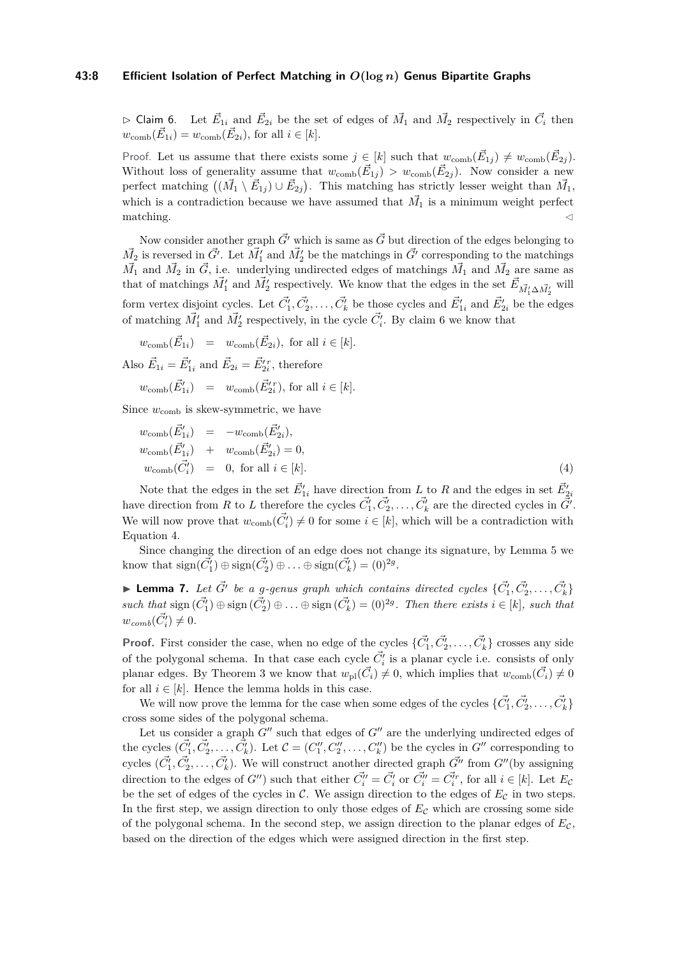#### **43:8 Efficient Isolation of Perfect Matching in** *O***(log** *n***) Genus Bipartite Graphs**

 $\triangleright$  Claim 6. Let  $\vec{E}_{1i}$  and  $\vec{E}_{2i}$  be the set of edges of  $\vec{M}_1$  and  $\vec{M}_2$  respectively in  $\vec{C}_i$  then  $w_{\text{comb}}(\vec{E}_{1i}) = w_{\text{comb}}(\vec{E}_{2i})$ , for all  $i \in [k]$ .

Proof. Let us assume that there exists some  $j \in [k]$  such that  $w_{\text{comb}}(\vec{E}_{1j}) \neq w_{\text{comb}}(\vec{E}_{2j})$ . Without loss of generality assume that  $w_{\text{comb}}(\vec{E}_{1j}) > w_{\text{comb}}(\vec{E}_{2j})$ . Now consider a new perfect matching  $((\vec{M}_1 \setminus \vec{E}_{1j}) \cup \vec{E}_{2j})$ . This matching has strictly lesser weight than  $\vec{M}_1$ , which is a contradiction because we have assumed that  $\vec{M}_1$  is a minimum weight perfect  $\blacksquare$  matching.

Now consider another graph  $\vec{G}$ <sup>*'*</sup> which is same as  $\vec{G}$  but direction of the edges belonging to  $\vec{M}_2$  is reversed in  $\vec{G'}$ . Let  $\vec{M}'_1$  and  $\vec{M}'_2$  be the matchings in  $\vec{G'}$  corresponding to the matchings  $\vec{M}_1$  and  $\vec{M}_2$  in  $\vec{G}$ , i.e. underlying undirected edges of matchings  $\vec{M}_1$  and  $\vec{M}_2$  are same as that of matchings  $\vec{M}'_1$  and  $\vec{M}'_2$  respectively. We know that the edges in the set  $\vec{E}_{\vec{M}'_1 \Delta \vec{M}'_2}$  will form vertex disjoint cycles. Let  $\vec{C}'_1, \vec{C}'_2, \ldots, \vec{C}'_k$  be those cycles and  $\vec{E}'_{1i}$  and  $\vec{E}'_{2i}$  be the edges of matching  $\vec{M}'_1$  and  $\vec{M}'_2$  respectively, in the cycle  $\vec{C}'_i$ . By claim [6](#page-6-1) we know that

$$
w_{\text{comb}}(\vec{E}_{1i}) = w_{\text{comb}}(\vec{E}_{2i}), \text{ for all } i \in [k].
$$
  
Also  $\vec{E}_{1i} = \vec{E}'_{1i}$  and  $\vec{E}_{2i} = \vec{E}'_{2i}^r$ , therefore

$$
w_{\text{comb}}(\vec{E}'_{1i}) = w_{\text{comb}}(\vec{E}'_{2i}), \text{ for all } i \in [k].
$$

Since  $w_{\text{comb}}$  is skew-symmetric, we have

<span id="page-7-0"></span>
$$
w_{\text{comb}}(\vec{E}'_{1i}) = -w_{\text{comb}}(\vec{E}'_{2i}),
$$
  
\n
$$
w_{\text{comb}}(\vec{E}'_{1i}) + w_{\text{comb}}(\vec{E}'_{2i}) = 0,
$$
  
\n
$$
w_{\text{comb}}(\vec{C}'_i) = 0, \text{ for all } i \in [k].
$$
\n(4)

Note that the edges in the set  $\vec{E}_{1i}'$  have direction from L to R and the edges in set  $\vec{E}_{2i}'$ have direction from *R* to *L* therefore the cycles  $\vec{C}'_1, \vec{C}'_2, \ldots, \vec{C}'_k$  are the directed cycles in  $\vec{G}'$ . We will now prove that  $w_{\text{comb}}(\vec{C}'_i) \neq 0$  for some  $i \in [k]$ , which will be a contradiction with Equation [4.](#page-7-0)

Since changing the direction of an edge does not change its signature, by Lemma [5](#page-6-2) we know that  $sign(\vec{C}_1') \oplus sign(\vec{C}_2') \oplus \ldots \oplus sign(\vec{C}_k') = (0)^{2g}$ .

**Lemma 7.** Let  $\vec{G'}$  be a g-genus graph which contains directed cycles  $\{\vec{C_1'}, \vec{C_2'}, \ldots, \vec{C_k'}\}$  $such that \text{ sign } (\vec{C}'_1) \oplus \text{sign } (\vec{C}'_2) \oplus \ldots \oplus \text{sign } (\vec{C}'_k) = (0)^{2g}$ . Then there exists  $i \in [k]$ *, such that*  $w_{comb}(\vec{C}'_i) \neq 0.$ 

**Proof.** First consider the case, when no edge of the cycles  $\{\vec{C}_1', \vec{C}_2', \ldots, \vec{C}_k'\}$  crosses any side of the polygonal schema. In that case each cycle  $\vec{C}'_i$  is a planar cycle i.e. consists of only planar edges. By Theorem [3](#page-5-0) we know that  $w_{\text{pl}}(\vec{C}_i) \neq 0$ , which implies that  $w_{\text{comb}}(\vec{C}_i) \neq 0$ for all  $i \in [k]$ . Hence the lemma holds in this case.

We will now prove the lemma for the case when some edges of the cycles  $\{\vec{C_1}, \vec{C_2}, \ldots, \vec{C_k}\}$ cross some sides of the polygonal schema.

Let us consider a graph  $G''$  such that edges of  $G''$  are the underlying undirected edges of the cycles  $(\vec{C}_1', \vec{C}_2', \ldots, \vec{C}_k')$ . Let  $\mathcal{C} = (C_1'', C_2'', \ldots, C_k'')$  be the cycles in  $G''$  corresponding to cycles  $(\vec{C_1}, \vec{C_2}, \ldots, \vec{C_k})$ . We will construct another directed graph  $\vec{G''}$  from  $G''$  (by assigning direction to the edges of *G*<sup>*i*</sup>) such that either  $\vec{C}''_i = \vec{C}'_i$  or  $\vec{C}''_i = \vec{C}''_i$ , for all  $i \in [k]$ . Let  $E_c$ be the set of edges of the cycles in  $\mathcal{C}$ . We assign direction to the edges of  $E_{\mathcal{C}}$  in two steps. In the first step, we assign direction to only those edges of  $E<sub>C</sub>$  which are crossing some side of the polygonal schema. In the second step, we assign direction to the planar edges of  $E_{\mathcal{C}}$ , based on the direction of the edges which were assigned direction in the first step.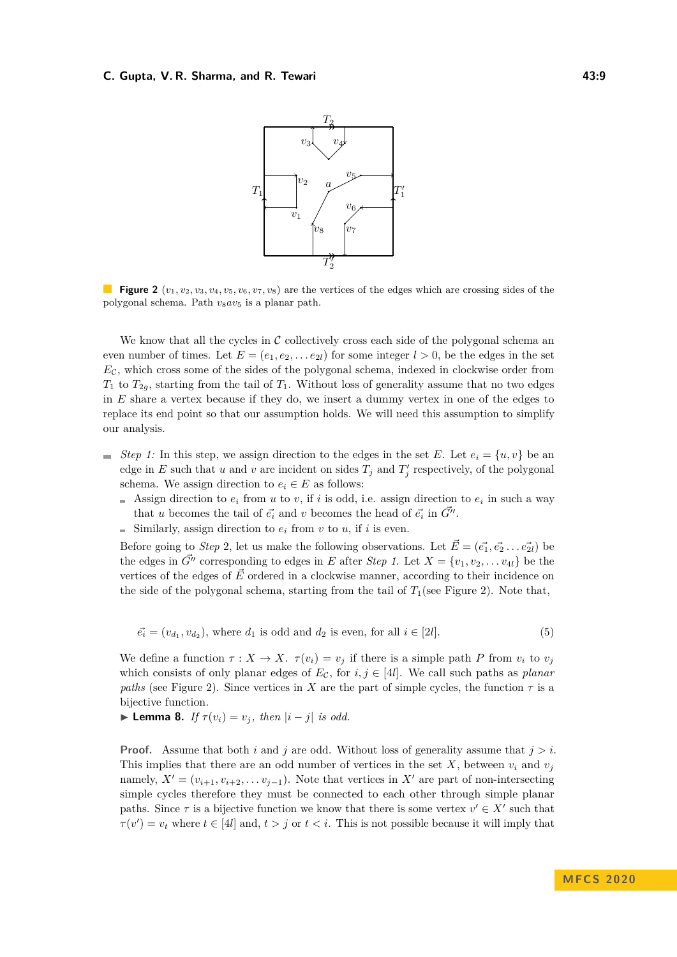#### <span id="page-8-0"></span>**C. Gupta, V. R. Sharma, and R. Tewari 12:00 12:00 13:00 14:00 14:00 14:00 14:00 14:00 14:00 14:00 14:00 14:00**



**Figure 2**  $(v_1, v_2, v_3, v_4, v_5, v_6, v_7, v_8)$  are the vertices of the edges which are crossing sides of the polygonal schema. Path *v*8*av*<sup>5</sup> is a planar path.

We know that all the cycles in  $\mathcal C$  collectively cross each side of the polygonal schema and even number of times. Let  $E = (e_1, e_2, \ldots, e_{2l})$  for some integer  $l > 0$ , be the edges in the set  $E_c$ , which cross some of the sides of the polygonal schema, indexed in clockwise order from  $T_1$  to  $T_{2g}$ , starting from the tail of  $T_1$ . Without loss of generality assume that no two edges in *E* share a vertex because if they do, we insert a dummy vertex in one of the edges to replace its end point so that our assumption holds. We will need this assumption to simplify our analysis.

- *Step 1:* In this step, we assign direction to the edges in the set *E*. Let  $e_i = \{u, v\}$  be an edge in *E* such that *u* and *v* are incident on sides  $T_j$  and  $T'_j$  respectively, of the polygonal schema. We assign direction to  $e_i \in E$  as follows:
	- Assign direction to  $e_i$  from  $u$  to  $v$ , if  $i$  is odd, i.e. assign direction to  $e_i$  in such a way that *u* becomes the tail of  $\vec{e}_i$  and *v* becomes the head of  $\vec{e}_i$  in  $\vec{G}^{\prime\prime}$ .
	- Similarly, assign direction to  $e_i$  from  $v$  to  $u$ , if  $i$  is even.

Before going to *Step* 2, let us make the following observations. Let  $\vec{E} = (\vec{e_1}, \vec{e_2} \dots \vec{e_{2l}})$  be the edges in  $\vec{G}''$  corresponding to edges in *E* after *Step 1*. Let  $X = \{v_1, v_2, \ldots v_{4l}\}$  be the vertices of the edges of  $\vec{E}$  ordered in a clockwise manner, according to their incidence on the side of the polygonal schema, starting from the tail of  $T_1$ (see Figure [2\)](#page-8-0). Note that,

<span id="page-8-1"></span>
$$
\vec{e_i} = (v_{d_1}, v_{d_2}), \text{ where } d_1 \text{ is odd and } d_2 \text{ is even, for all } i \in [2l]. \tag{5}
$$

We define a function  $\tau : X \to X$ .  $\tau(v_i) = v_j$  if there is a simple path *P* from  $v_i$  to  $v_j$ which consists of only planar edges of  $E_{\mathcal{C}}$ , for  $i, j \in [4l]$ . We call such paths as *planar paths* (see Figure [2\)](#page-8-0). Since vertices in *X* are the part of simple cycles, the function  $\tau$  is a bijective function.

<span id="page-8-2"></span>► **Lemma 8.** *If*  $\tau(v_i) = v_j$ , *then*  $|i - j|$  *is odd.* 

**Proof.** Assume that both *i* and *j* are odd. Without loss of generality assume that *j > i*. This implies that there are an odd number of vertices in the set  $X$ , between  $v_i$  and  $v_j$ namely,  $X' = (v_{i+1}, v_{i+2}, \ldots v_{j-1})$ . Note that vertices in  $X'$  are part of non-intersecting simple cycles therefore they must be connected to each other through simple planar paths. Since  $\tau$  is a bijective function we know that there is some vertex  $v' \in X'$  such that  $\tau(v') = v_t$  where  $t \in [4l]$  and,  $t > j$  or  $t < i$ . This is not possible because it will imply that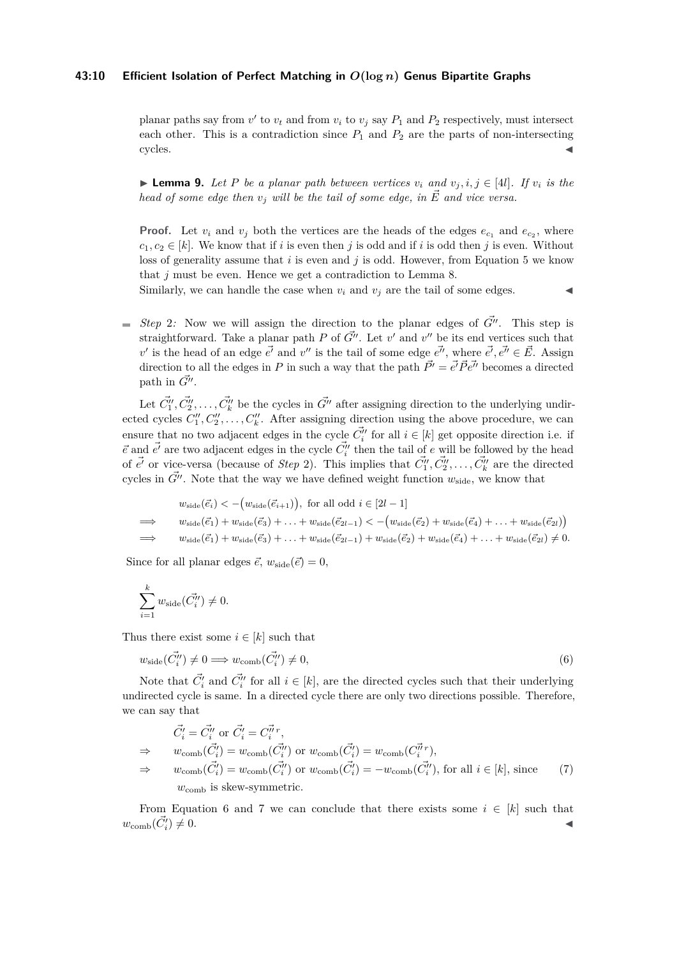#### **43:10 Efficient Isolation of Perfect Matching in** *O***(log** *n***) Genus Bipartite Graphs**

planar paths say from  $v'$  to  $v_t$  and from  $v_i$  to  $v_j$  say  $P_1$  and  $P_2$  respectively, must intersect each other. This is a contradiction since  $P_1$  and  $P_2$  are the parts of non-intersecting cycles.

▶ **Lemma 9.** Let P be a planar path between vertices  $v_i$  and  $v_j$ ,  $i, j \in [4l]$ . If  $v_i$  is the *head of some edge then*  $v_i$  *will be the tail of some edge, in*  $\vec{E}$  *and vice versa.* 

**Proof.** Let  $v_i$  and  $v_j$  both the vertices are the heads of the edges  $e_{c_1}$  and  $e_{c_2}$ , where  $c_1, c_2 \in [k]$ . We know that if *i* is even then *j* is odd and if *i* is odd then *j* is even. Without loss of generality assume that *i* is even and *j* is odd. However, from Equation [5](#page-8-1) we know that *j* must be even. Hence we get a contradiction to Lemma [8.](#page-8-2)

Similarly, we can handle the case when  $v_i$  and  $v_j$  are the tail of some edges.

*Step* 2*:* Now we will assign the direction to the planar edges of  $\vec{G}^{\prime\prime}$ . This step is straightforward. Take a planar path *P* of  $\vec{G}''$ . Let  $v'$  and  $v''$  be its end vertices such that  $v'$  is the head of an edge  $e^{\vec{i}}$  and  $v''$  is the tail of some edge  $e^{\vec{i'}}$ , where  $e^{\vec{i}}$ ,  $e^{\vec{i'}} \in \vec{E}$ . Assign direction to all the edges in *P* in such a way that the path  $\vec{P'} = \vec{e'} \vec{P} \vec{e''}$  becomes a directed path in  $\vec{G}''$ .

Let  $\vec{C}''_1, \vec{C}''_2, \ldots, \vec{C}''_k$  be the cycles in  $\vec{G''}$  after assigning direction to the underlying undirected cycles  $C_1'', C_2'', \ldots, C_k''$ . After assigning direction using the above procedure, we can ensure that no two adjacent edges in the cycle  $\vec{C}''_i$  for all  $i \in [k]$  get opposite direction i.e. if  $\vec{e}$  and  $\vec{e'}$  are two adjacent edges in the cycle  $\vec{C''_i}$  then the tail of  $e$  will be followed by the head of  $\vec{e'}$  or vice-versa (because of *Step* 2). This implies that  $\vec{C_1''}, \vec{C_2''}, \ldots, \vec{C_k''}$  are the directed cycles in  $\vec{G}''$ . Note that the way we have defined weight function  $w_{\text{side}}$ , we know that

$$
w_{\text{side}}(\vec{e}_i) < -\big(w_{\text{side}}(\vec{e}_{i+1})\big), \text{ for all odd } i \in [2l-1]
$$
\n
$$
\implies w_{\text{side}}(\vec{e}_1) + w_{\text{side}}(\vec{e}_3) + \ldots + w_{\text{side}}(\vec{e}_{2l-1}) < -\big(w_{\text{side}}(\vec{e}_2) + w_{\text{side}}(\vec{e}_4) + \ldots + w_{\text{side}}(\vec{e}_{2l})\big)
$$
\n
$$
\implies w_{\text{side}}(\vec{e}_1) + w_{\text{side}}(\vec{e}_3) + \ldots + w_{\text{side}}(\vec{e}_{2l-1}) + w_{\text{side}}(\vec{e}_2) + w_{\text{side}}(\vec{e}_4) + \ldots + w_{\text{side}}(\vec{e}_{2l}) \neq 0.
$$

Since for all planar edges  $\vec{e}$ ,  $w_{\text{side}}(\vec{e}) = 0$ ,

$$
\sum_{i=1}^k w_{\text{side}}(\vec{C}_i'') \neq 0.
$$

Thus there exist some  $i \in [k]$  such that

<span id="page-9-0"></span>
$$
w_{\text{side}}(\vec{C}''_i) \neq 0 \Longrightarrow w_{\text{comb}}(\vec{C}''_i) \neq 0,\tag{6}
$$

Note that  $\vec{C}^{\prime}_i$  and  $\vec{C}^{\prime\prime}_i$  for all  $i \in [k]$ , are the directed cycles such that their underlying undirected cycle is same. In a directed cycle there are only two directions possible. Therefore, we can say that

<span id="page-9-1"></span>
$$
\begin{aligned}\n\vec{C}'_i &= \vec{C}''_i \text{ or } \vec{C}'_i = \vec{C}''_i r, \\
&\Rightarrow \qquad w_{\text{comb}}(\vec{C}'_i) = w_{\text{comb}}(\vec{C}''_i) \text{ or } w_{\text{comb}}(\vec{C}'_i) = w_{\text{comb}}(\vec{C}''_i r), \\
&\Rightarrow \qquad w_{\text{comb}}(\vec{C}'_i) = w_{\text{comb}}(\vec{C}''_i) \text{ or } w_{\text{comb}}(\vec{C}'_i) = -w_{\text{comb}}(\vec{C}''_i), \text{ for all } i \in [k], \text{ since } \\
w_{\text{comb}} & \text{ is skew-symmetric.}\n\end{aligned}\n\tag{7}
$$

From Equation [6](#page-9-0) and [7](#page-9-1) we can conclude that there exists some  $i \in [k]$  such that  $w_{\text{comb}}(\vec{C_i'})$  $)\neq 0.$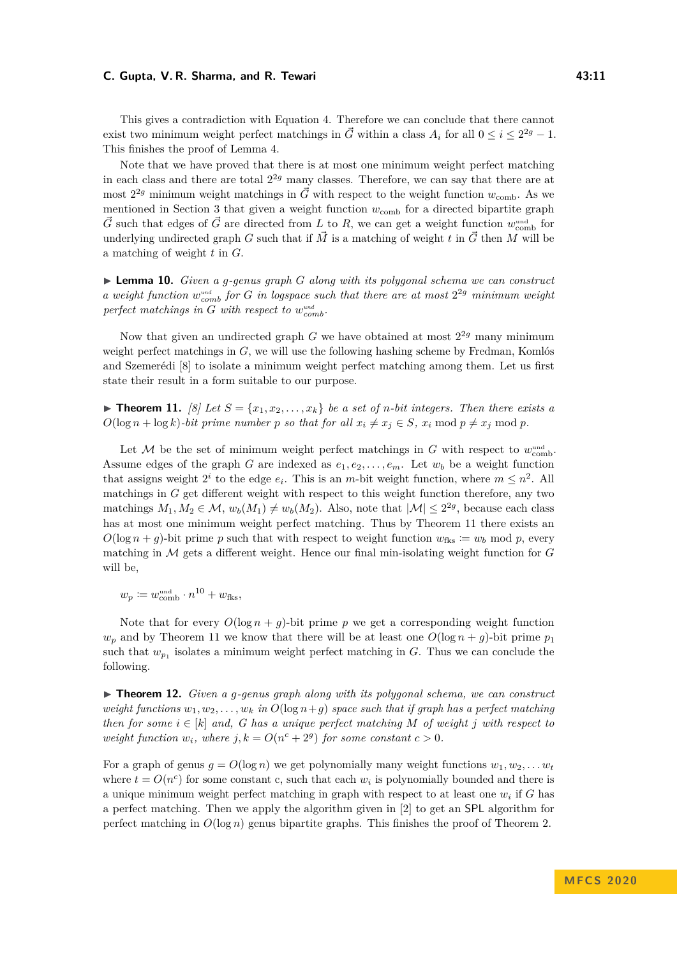#### **C. Gupta, V. R. Sharma, and R. Tewari 43:11**

This gives a contradiction with Equation [4.](#page-7-0) Therefore we can conclude that there cannot exist two minimum weight perfect matchings in  $\vec{G}$  within a class  $A_i$  for all  $0 \leq i \leq 2^{2g} - 1$ . This finishes the proof of Lemma [4.](#page-6-3)

Note that we have proved that there is at most one minimum weight perfect matching in each class and there are total 2 <sup>2</sup>*<sup>g</sup>* many classes. Therefore, we can say that there are at most  $2^{2g}$  minimum weight matchings in  $\vec{G}$  with respect to the weight function  $w_{\text{comb}}$ . As we mentioned in Section [3](#page-4-0) that given a weight function  $w_{\text{comb}}$  for a directed bipartite graph  $\vec{G}$  such that edges of  $\vec{G}$  are directed from *L* to *R*, we can get a weight function  $w_{\text{comb}}^{\text{und}}$  for underlying undirected graph *G* such that if  $\vec{M}$  is a matching of weight *t* in  $\vec{G}$  then *M* will be a matching of weight *t* in *G*.

I **Lemma 10.** *Given a g-genus graph G along with its polygonal schema we can construct a* weight function  $w_{comb}^{und}$  for *G in logspace such that there are at most*  $2^{2g}$  *minimum weight*  $perfect$  *matchings in G with respect to*  $w_{comb}^{und}$ .

Now that given an undirected graph *G* we have obtained at most  $2^{2g}$  many minimum weight perfect matchings in *G*, we will use the following hashing scheme by Fredman, Komlós and Szemerédi [\[8\]](#page-11-15) to isolate a minimum weight perfect matching among them. Let us first state their result in a form suitable to our purpose.

<span id="page-10-0"></span>**Find 11.** *[\[8\]](#page-11-15)* Let  $S = \{x_1, x_2, \ldots, x_k\}$  be a set of *n*-bit integers. Then there exists a  $O(\log n + \log k)$ -bit prime number *p* so that for all  $x_i \neq x_j \in S$ ,  $x_i \mod p \neq x_j \mod p$ .

Let M be the set of minimum weight perfect matchings in  $G$  with respect to  $w_{\text{comb}}^{\text{und}}$ . Assume edges of the graph *G* are indexed as  $e_1, e_2, \ldots, e_m$ . Let  $w_b$  be a weight function that assigns weight  $2^i$  to the edge  $e_i$ . This is an *m*-bit weight function, where  $m \leq n^2$ . All matchings in *G* get different weight with respect to this weight function therefore, any two matchings  $M_1, M_2 \in \mathcal{M}$ ,  $w_b(M_1) \neq w_b(M_2)$ . Also, note that  $|\mathcal{M}| \leq 2^{2g}$ , because each class has at most one minimum weight perfect matching. Thus by Theorem [11](#page-10-0) there exists an  $O(\log n + g)$ -bit prime *p* such that with respect to weight function  $w_{\text{fks}} := w_b \mod p$ , every matching in M gets a different weight. Hence our final min-isolating weight function for *G* will be,

$$
w_p \coloneqq w_{\text{comb}}^{\text{und}} \cdot n^{10} + w_{\text{fks}},
$$

Note that for every  $O(\log n + g)$ -bit prime p we get a corresponding weight function  $w_p$  and by Theorem [11](#page-10-0) we know that there will be at least one  $O(\log n + g)$ -bit prime  $p_1$ such that  $w_{p_1}$  isolates a minimum weight perfect matching in *G*. Thus we can conclude the following.

 $\triangleright$  **Theorem 12.** *Given a q-genus graph along with its polygonal schema, we can construct weight functions*  $w_1, w_2, \ldots, w_k$  *in*  $O(\log n + g)$  *space such that if graph has a perfect matching then for some*  $i \in [k]$  *and,* G has a unique perfect matching M of weight *j* with respect to *weight function*  $w_i$ *, where*  $j, k = O(n^c + 2^g)$  *for some constant*  $c > 0$ *.* 

For a graph of genus  $g = O(\log n)$  we get polynomially many weight functions  $w_1, w_2, \ldots, w_t$ where  $t = O(n^c)$  for some constant c, such that each  $w_i$  is polynomially bounded and there is a unique minimum weight perfect matching in graph with respect to at least one *w<sup>i</sup>* if *G* has a perfect matching. Then we apply the algorithm given in [\[2\]](#page-11-3) to get an SPL algorithm for perfect matching in  $O(\log n)$  genus bipartite graphs. This finishes the proof of Theorem [2.](#page-1-0)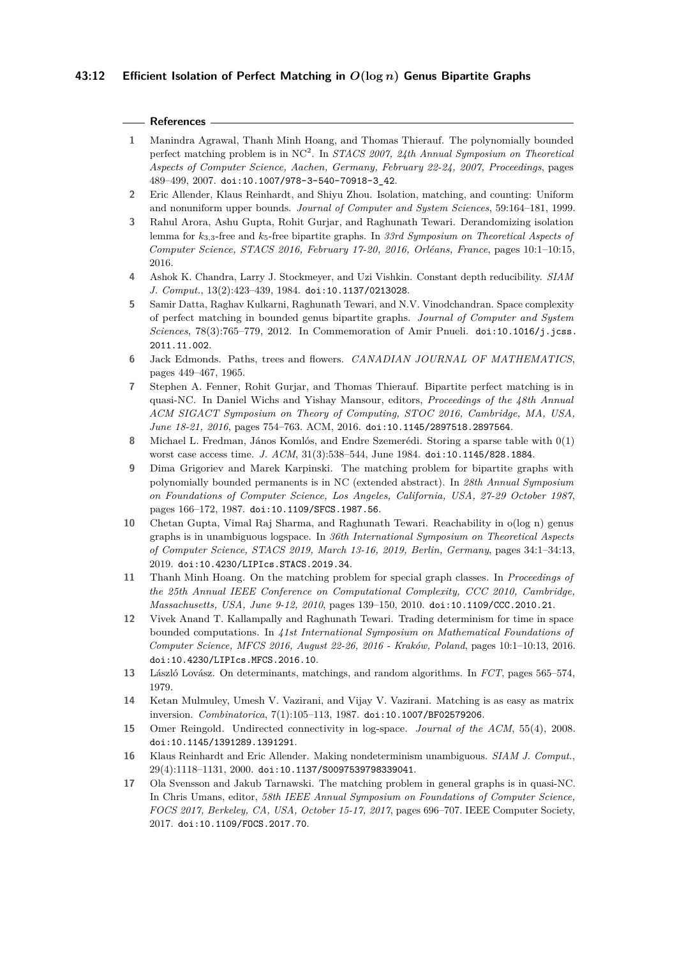## **References**

- <span id="page-11-11"></span>**1** Manindra Agrawal, Thanh Minh Hoang, and Thomas Thierauf. The polynomially bounded perfect matching problem is in NC<sup>2</sup> . In *STACS 2007, 24th Annual Symposium on Theoretical Aspects of Computer Science, Aachen, Germany, February 22-24, 2007, Proceedings*, pages 489–499, 2007. [doi:10.1007/978-3-540-70918-3\\_42](https://doi.org/10.1007/978-3-540-70918-3_42).
- <span id="page-11-3"></span>**2** Eric Allender, Klaus Reinhardt, and Shiyu Zhou. Isolation, matching, and counting: Uniform and nonuniform upper bounds. *Journal of Computer and System Sciences*, 59:164–181, 1999.
- <span id="page-11-9"></span>**3** Rahul Arora, Ashu Gupta, Rohit Gurjar, and Raghunath Tewari. Derandomizing isolation lemma for *k*3*,*3-free and *k*5-free bipartite graphs. In *33rd Symposium on Theoretical Aspects of Computer Science, STACS 2016, February 17-20, 2016, Orléans, France*, pages 10:1–10:15, 2016.
- <span id="page-11-7"></span>**4** Ashok K. Chandra, Larry J. Stockmeyer, and Uzi Vishkin. Constant depth reducibility. *SIAM J. Comput.*, 13(2):423–439, 1984. [doi:10.1137/0213028](https://doi.org/10.1137/0213028).
- <span id="page-11-8"></span>**5** Samir Datta, Raghav Kulkarni, Raghunath Tewari, and N.V. Vinodchandran. Space complexity of perfect matching in bounded genus bipartite graphs. *Journal of Computer and System Sciences*, 78(3):765–779, 2012. In Commemoration of Amir Pnueli. [doi:10.1016/j.jcss.](https://doi.org/10.1016/j.jcss.2011.11.002) [2011.11.002](https://doi.org/10.1016/j.jcss.2011.11.002).
- <span id="page-11-0"></span>**6** Jack Edmonds. Paths, trees and flowers. *CANADIAN JOURNAL OF MATHEMATICS*, pages 449–467, 1965.
- <span id="page-11-4"></span>**7** Stephen A. Fenner, Rohit Gurjar, and Thomas Thierauf. Bipartite perfect matching is in quasi-NC. In Daniel Wichs and Yishay Mansour, editors, *Proceedings of the 48th Annual ACM SIGACT Symposium on Theory of Computing, STOC 2016, Cambridge, MA, USA, June 18-21, 2016*, pages 754–763. ACM, 2016. [doi:10.1145/2897518.2897564](https://doi.org/10.1145/2897518.2897564).
- <span id="page-11-15"></span>**8** Michael L. Fredman, János Komlós, and Endre Szemerédi. Storing a sparse table with 0(1) worst case access time. *J. ACM*, 31(3):538–544, June 1984. [doi:10.1145/828.1884](https://doi.org/10.1145/828.1884).
- <span id="page-11-10"></span>**9** Dima Grigoriev and Marek Karpinski. The matching problem for bipartite graphs with polynomially bounded permanents is in NC (extended abstract). In *28th Annual Symposium on Foundations of Computer Science, Los Angeles, California, USA, 27-29 October 1987*, pages 166–172, 1987. [doi:10.1109/SFCS.1987.56](https://doi.org/10.1109/SFCS.1987.56).
- <span id="page-11-14"></span>**10** Chetan Gupta, Vimal Raj Sharma, and Raghunath Tewari. Reachability in o(log n) genus graphs is in unambiguous logspace. In *36th International Symposium on Theoretical Aspects of Computer Science, STACS 2019, March 13-16, 2019, Berlin, Germany*, pages 34:1–34:13, 2019. [doi:10.4230/LIPIcs.STACS.2019.34](https://doi.org/10.4230/LIPIcs.STACS.2019.34).
- <span id="page-11-12"></span>**11** Thanh Minh Hoang. On the matching problem for special graph classes. In *Proceedings of the 25th Annual IEEE Conference on Computational Complexity, CCC 2010, Cambridge, Massachusetts, USA, June 9-12, 2010*, pages 139–150, 2010. [doi:10.1109/CCC.2010.21](https://doi.org/10.1109/CCC.2010.21).
- <span id="page-11-13"></span>**12** Vivek Anand T. Kallampally and Raghunath Tewari. Trading determinism for time in space bounded computations. In *41st International Symposium on Mathematical Foundations of Computer Science, MFCS 2016, August 22-26, 2016 - Kraków, Poland*, pages 10:1–10:13, 2016. [doi:10.4230/LIPIcs.MFCS.2016.10](https://doi.org/10.4230/LIPIcs.MFCS.2016.10).
- <span id="page-11-1"></span>**13** László Lovász. On determinants, matchings, and random algorithms. In *FCT*, pages 565–574, 1979.
- <span id="page-11-2"></span>**14** Ketan Mulmuley, Umesh V. Vazirani, and Vijay V. Vazirani. Matching is as easy as matrix inversion. *Combinatorica*, 7(1):105–113, 1987. [doi:10.1007/BF02579206](https://doi.org/10.1007/BF02579206).
- <span id="page-11-16"></span>**15** Omer Reingold. Undirected connectivity in log-space. *Journal of the ACM*, 55(4), 2008. [doi:10.1145/1391289.1391291](https://doi.org/10.1145/1391289.1391291).
- <span id="page-11-6"></span>**16** Klaus Reinhardt and Eric Allender. Making nondeterminism unambiguous. *SIAM J. Comput.*, 29(4):1118–1131, 2000. [doi:10.1137/S0097539798339041](https://doi.org/10.1137/S0097539798339041).
- <span id="page-11-5"></span>**17** Ola Svensson and Jakub Tarnawski. The matching problem in general graphs is in quasi-NC. In Chris Umans, editor, *58th IEEE Annual Symposium on Foundations of Computer Science, FOCS 2017, Berkeley, CA, USA, October 15-17, 2017*, pages 696–707. IEEE Computer Society, 2017. [doi:10.1109/FOCS.2017.70](https://doi.org/10.1109/FOCS.2017.70).